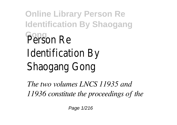**Online Library Person Re Identification By Shaogang Gong** Person Re Identification By Shaogang Gong

*The two volumes LNCS 11935 and 11936 constitute the proceedings of the*

Page 1/216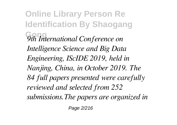**Online Library Person Re Identification By Shaogang Gong** *9th International Conference on Intelligence Science and Big Data Engineering, IScIDE 2019, held in Nanjing, China, in October 2019. The 84 full papers presented were carefully reviewed and selected from 252 submissions.The papers are organized in*

Page 2/216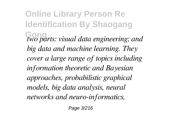**Online Library Person Re Identification By Shaogang Gong** *two parts: visual data engineering; and big data and machine learning. They cover a large range of topics including information theoretic and Bayesian approaches, probabilistic graphical models, big data analysis, neural networks and neuro-informatics,*

Page 3/216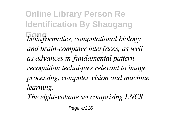**Online Library Person Re Identification By Shaogang Gong** *bioinformatics, computational biology and brain-computer interfaces, as well as advances in fundamental pattern recognition techniques relevant to image processing, computer vision and machine learning.*

*The eight-volume set comprising LNCS*

Page 4/216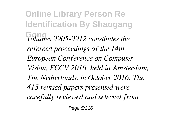**Online Library Person Re Identification By Shaogang Gong** *volumes 9905-9912 constitutes the refereed proceedings of the 14th European Conference on Computer Vision, ECCV 2016, held in Amsterdam, The Netherlands, in October 2016. The 415 revised papers presented were carefully reviewed and selected from*

Page 5/216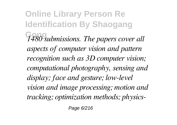**Online Library Person Re Identification By Shaogang Gong** *1480 submissions. The papers cover all aspects of computer vision and pattern recognition such as 3D computer vision; computational photography, sensing and display; face and gesture; low-level vision and image processing; motion and tracking; optimization methods; physics-*

Page 6/216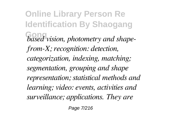**Online Library Person Re Identification By Shaogang Gong** *based vision, photometry and shapefrom-X; recognition: detection, categorization, indexing, matching; segmentation, grouping and shape representation; statistical methods and learning; video: events, activities and surveillance; applications. They are*

Page 7/216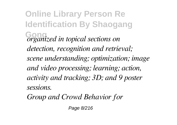**Online Library Person Re Identification By Shaogang Gong** *organized in topical sections on detection, recognition and retrieval; scene understanding; optimization; image and video processing; learning; action, activity and tracking; 3D; and 9 poster sessions.*

*Group and Crowd Behavior for*

Page 8/216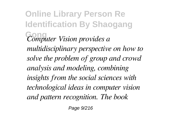**Online Library Person Re Identification By Shaogang Gong** *Computer Vision provides a multidisciplinary perspective on how to solve the problem of group and crowd analysis and modeling, combining insights from the social sciences with technological ideas in computer vision and pattern recognition. The book*

Page 9/216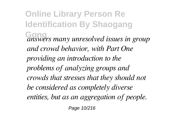**Online Library Person Re Identification By Shaogang Gong** *answers many unresolved issues in group and crowd behavior, with Part One providing an introduction to the problems of analyzing groups and crowds that stresses that they should not be considered as completely diverse entities, but as an aggregation of people.* Page 10/216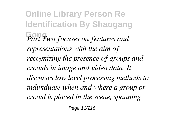**Online Library Person Re Identification By Shaogang Gong** *Part Two focuses on features and representations with the aim of recognizing the presence of groups and crowds in image and video data. It discusses low level processing methods to individuate when and where a group or crowd is placed in the scene, spanning*

Page 11/216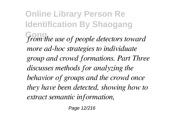**Online Library Person Re Identification By Shaogang Gong** *from the use of people detectors toward more ad-hoc strategies to individuate group and crowd formations. Part Three discusses methods for analyzing the behavior of groups and the crowd once they have been detected, showing how to extract semantic information,*

Page 12/216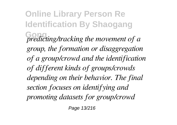**Online Library Person Re Identification By Shaogang Gong** *predicting/tracking the movement of a group, the formation or disaggregation of a group/crowd and the identification of different kinds of groups/crowds depending on their behavior. The final section focuses on identifying and promoting datasets for group/crowd*

Page 13/216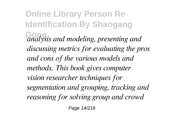**Online Library Person Re Identification By Shaogang Gong** *analysis and modeling, presenting and discussing metrics for evaluating the pros and cons of the various models and methods. This book gives computer vision researcher techniques for segmentation and grouping, tracking and reasoning for solving group and crowd*

Page 14/216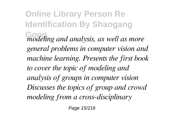**Online Library Person Re Identification By Shaogang Gong** *modeling and analysis, as well as more general problems in computer vision and machine learning. Presents the first book to cover the topic of modeling and analysis of groups in computer vision Discusses the topics of group and crowd modeling from a cross-disciplinary*

Page 15/216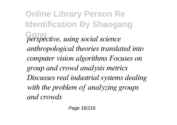**Online Library Person Re Identification By Shaogang Gong** *perspective, using social science anthropological theories translated into computer vision algorithms Focuses on group and crowd analysis metrics Discusses real industrial systems dealing with the problem of analyzing groups and crowds*

Page 16/216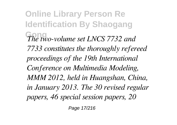**Online Library Person Re Identification By Shaogang Gong** *The two-volume set LNCS 7732 and 7733 constitutes the thoroughly refereed proceedings of the 19th International Conference on Multimedia Modeling, MMM 2012, held in Huangshan, China, in January 2013. The 30 revised regular papers, 46 special session papers, 20*

Page 17/216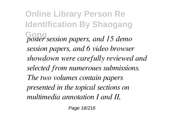**Online Library Person Re Identification By Shaogang Gong** *poster session papers, and 15 demo session papers, and 6 video browser showdown were carefully reviewed and selected from numeroues submissions. The two volumes contain papers presented in the topical sections on multimedia annotation I and II,*

Page 18/216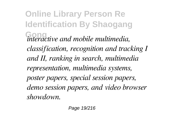**Online Library Person Re Identification By Shaogang Gong** *interactive and mobile multimedia, classification, recognition and tracking I and II, ranking in search, multimedia representation, multimedia systems, poster papers, special session papers, demo session papers, and video browser showdown.*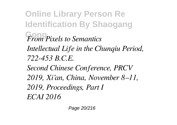**Online Library Person Re Identification By Shaogang Gong** *From Pixels to Semantics Intellectual Life in the Chunqiu Period, 722-453 B.C.E. Second Chinese Conference, PRCV 2019, Xi'an, China, November 8–11, 2019, Proceedings, Part I ECAI 2016*

Page 20/216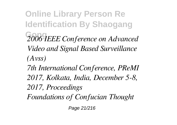**Online Library Person Re Identification By Shaogang Gong** *2006 IEEE Conference on Advanced Video and Signal Based Surveillance (Avss)*

*7th International Conference, PReMI 2017, Kolkata, India, December 5-8, 2017, Proceedings Foundations of Confucian Thought*

Page 21/216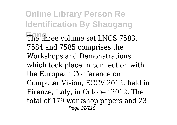**Online Library Person Re Identification By Shaogang** The three volume set LNCS 7583. 7584 and 7585 comprises the Workshops and Demonstrations which took place in connection with the European Conference on Computer Vision, ECCV 2012, held in Firenze, Italy, in October 2012. The total of 179 workshop papers and 23 Page 22/216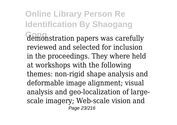**Online Library Person Re Identification By Shaogang Gong** demonstration papers was carefully reviewed and selected for inclusion in the proceedings. They where held at workshops with the following themes: non-rigid shape analysis and deformable image alignment; visual analysis and geo-localization of largescale imagery; Web-scale vision and Page 23/216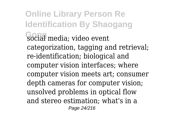**Online Library Person Re Identification By Shaogang** social media; video event categorization, tagging and retrieval; re-identification; biological and computer vision interfaces; where computer vision meets art; consumer depth cameras for computer vision; unsolved problems in optical flow and stereo estimation; what's in a Page 24/216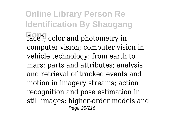**Online Library Person Re Identification By Shaogang** face?; color and photometry in computer vision; computer vision in vehicle technology: from earth to mars; parts and attributes; analysis and retrieval of tracked events and motion in imagery streams; action recognition and pose estimation in still images; higher-order models and Page 25/216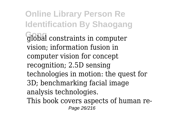**Online Library Person Re Identification By Shaogang Gong** global constraints in computer vision; information fusion in computer vision for concept recognition; 2.5D sensing technologies in motion: the quest for 3D; benchmarking facial image analysis technologies. This book covers aspects of human re-Page 26/216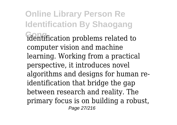**Online Library Person Re Identification By Shaogang** identification problems related to computer vision and machine learning. Working from a practical perspective, it introduces novel algorithms and designs for human reidentification that bridge the gap between research and reality. The primary focus is on building a robust, Page 27/216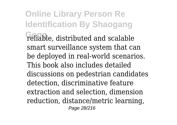**Online Library Person Re Identification By Shaogang** reliable, distributed and scalable smart surveillance system that can be deployed in real-world scenarios. This book also includes detailed discussions on pedestrian candidates detection, discriminative feature extraction and selection, dimension reduction, distance/metric learning, Page 28/216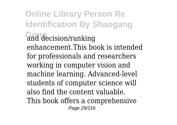**Online Library Person Re Identification By Shaogang Gong** and decision/ranking enhancement.This book is intended for professionals and researchers working in computer vision and machine learning. Advanced-level students of computer science will also find the content valuable. This book offers a comprehensive Page 29/216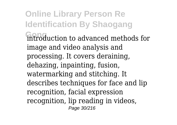**Online Library Person Re Identification By Shaogang** introduction to advanced methods for image and video analysis and processing. It covers deraining, dehazing, inpainting, fusion, watermarking and stitching. It describes techniques for face and lip recognition, facial expression recognition, lip reading in videos, Page 30/216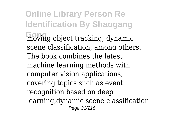**Online Library Person Re Identification By Shaogang Gong** moving object tracking, dynamic scene classification, among others. The book combines the latest machine learning methods with computer vision applications, covering topics such as event recognition based on deep learning,dynamic scene classification Page 31/216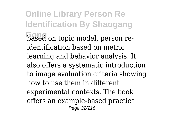**Online Library Person Re Identification By Shaogang** based on topic model, person reidentification based on metric learning and behavior analysis. It also offers a systematic introduction to image evaluation criteria showing how to use them in different experimental contexts. The book offers an example-based practical Page 32/216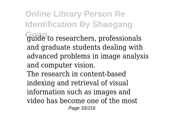**Online Library Person Re Identification By Shaogang Gong** guide to researchers, professionals and graduate students dealing with advanced problems in image analysis and computer vision.

The research in content-based indexing and retrieval of visual information such as images and video has become one of the most Page 33/216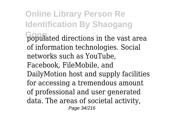**Online Library Person Re Identification By Shaogang** populated directions in the vast area of information technologies. Social networks such as YouTube, Facebook, FileMobile, and DailyMotion host and supply facilities for accessing a tremendous amount of professional and user generated data. The areas of societal activity, Page 34/216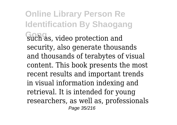**Online Library Person Re Identification By Shaogang** such as, video protection and security, also generate thousands and thousands of terabytes of visual content. This book presents the most recent results and important trends in visual information indexing and retrieval. It is intended for young researchers, as well as, professionals Page 35/216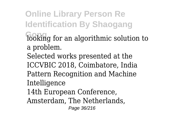**Online Library Person Re Identification By Shaogang Gong** looking for an algorithmic solution to a problem. Selected works presented at the ICCVBIC 2018, Coimbatore, India Pattern Recognition and Machine Intelligence 14th European Conference, Amsterdam, The Netherlands, Page 36/216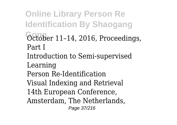**Online Library Person Re Identification By Shaogang** October 11-14, 2016, Proceedings, Part I Introduction to Semi-supervised Learning Person Re-Identification Visual Indexing and Retrieval 14th European Conference, Amsterdam, The Netherlands, Page 37/216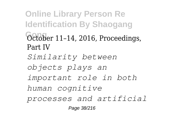**Online Library Person Re Identification By Shaogang** October 11-14, 2016, Proceedings, Part IV *Similarity between objects plays an important role in both human cognitive processes and artificial* Page 38/216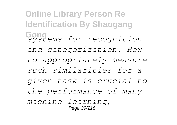**Online Library Person Re Identification By Shaogang Gong** *systems for recognition and categorization. How to appropriately measure such similarities for a given task is crucial to the performance of many machine learning,* Page 39/216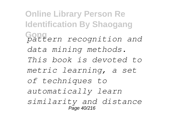**Online Library Person Re Identification By Shaogang Gong** *pattern recognition and data mining methods. This book is devoted to metric learning, a set of techniques to automatically learn similarity and distance* Page 40/216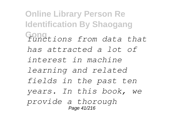**Online Library Person Re Identification By Shaogang Gong** *functions from data that has attracted a lot of interest in machine learning and related fields in the past ten years. In this book, we provide a thorough* Page 41/216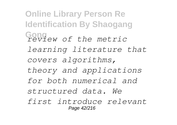**Online Library Person Re Identification By Shaogang Gong** *review of the metric learning literature that covers algorithms, theory and applications for both numerical and structured data. We first introduce relevant* Page 42/216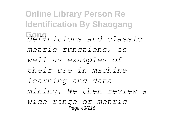**Online Library Person Re Identification By Shaogang Gong** *definitions and classic metric functions, as well as examples of their use in machine learning and data mining. We then review a wide range of metric* Page 43/216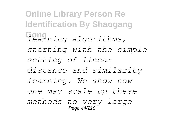**Online Library Person Re Identification By Shaogang Gong** *learning algorithms, starting with the simple setting of linear distance and similarity learning. We show how one may scale-up these methods to very large* Page 44/216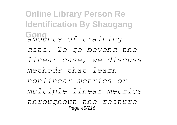**Online Library Person Re Identification By Shaogang Gong** *amounts of training data. To go beyond the linear case, we discuss methods that learn nonlinear metrics or multiple linear metrics throughout the feature* Page 45/216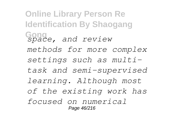**Online Library Person Re Identification By Shaogang Gong** *space, and review methods for more complex settings such as multitask and semi-supervised learning. Although most of the existing work has focused on numerical* Page 46/216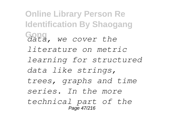**Online Library Person Re Identification By Shaogang Gong** *data, we cover the literature on metric learning for structured data like strings, trees, graphs and time series. In the more technical part of the* Page 47/216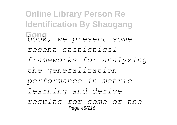**Online Library Person Re Identification By Shaogang Gong** *book, we present some recent statistical frameworks for analyzing the generalization performance in metric learning and derive results for some of the* Page 48/216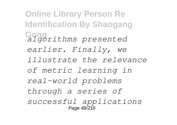**Online Library Person Re Identification By Shaogang Gong** *algorithms presented earlier. Finally, we illustrate the relevance of metric learning in real-world problems through a series of successful applications* Page 49/216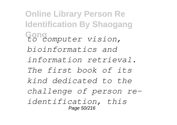**Online Library Person Re Identification By Shaogang Gong** *to computer vision, bioinformatics and information retrieval. The first book of its kind dedicated to the challenge of person reidentification, this* Page 50/216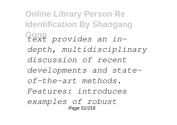**Online Library Person Re Identification By Shaogang Gong** *text provides an indepth, multidisciplinary discussion of recent developments and stateof-the-art methods. Features: introduces examples of robust* Page 51/216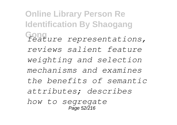**Online Library Person Re Identification By Shaogang Gong** *feature representations, reviews salient feature weighting and selection mechanisms and examines the benefits of semantic attributes; describes how to segregate* Page 52/216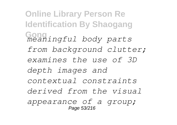**Online Library Person Re Identification By Shaogang Gong** *meaningful body parts from background clutter; examines the use of 3D depth images and contextual constraints derived from the visual appearance of a group;* Page 53/216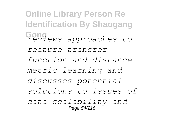**Online Library Person Re Identification By Shaogang Gong** *reviews approaches to feature transfer function and distance metric learning and discusses potential solutions to issues of data scalability and* Page 54/216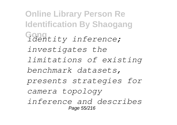**Online Library Person Re Identification By Shaogang Gong** *identity inference; investigates the limitations of existing benchmark datasets, presents strategies for camera topology inference and describes* Page 55/216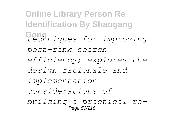**Online Library Person Re Identification By Shaogang Gong** *techniques for improving post-rank search efficiency; explores the design rationale and implementation considerations of building a practical re-*Page 56/216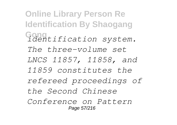**Online Library Person Re Identification By Shaogang Gong** *identification system. The three-volume set LNCS 11857, 11858, and 11859 constitutes the refereed proceedings of the Second Chinese Conference on Pattern* Page 57/216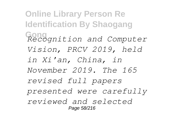**Online Library Person Re Identification By Shaogang Gong** *Recognition and Computer Vision, PRCV 2019, held in Xi'an, China, in November 2019. The 165 revised full papers presented were carefully reviewed and selected* Page 58/216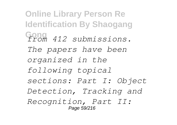**Online Library Person Re Identification By Shaogang Gong** *from 412 submissions. The papers have been organized in the following topical sections: Part I: Object Detection, Tracking and Recognition, Part II:* Page 59/216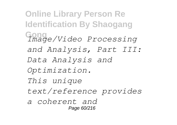**Online Library Person Re Identification By Shaogang Gong** *Image/Video Processing and Analysis, Part III: Data Analysis and Optimization. This unique text/reference provides a coherent and* Page 60/216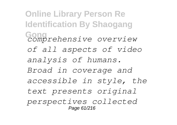**Online Library Person Re Identification By Shaogang Gong** *comprehensive overview of all aspects of video analysis of humans. Broad in coverage and accessible in style, the text presents original perspectives collected* Page 61/216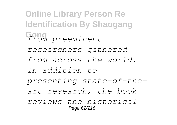**Online Library Person Re Identification By Shaogang Gong** *from preeminent researchers gathered from across the world. In addition to presenting state-of-theart research, the book reviews the historical* Page 62/216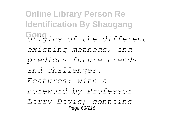**Online Library Person Re Identification By Shaogang Gong** *origins of the different existing methods, and predicts future trends and challenges. Features: with a Foreword by Professor Larry Davis; contains* Page 63/216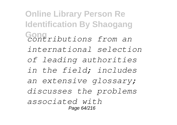**Online Library Person Re Identification By Shaogang Gong** *contributions from an international selection of leading authorities in the field; includes an extensive glossary; discusses the problems associated with* Page 64/216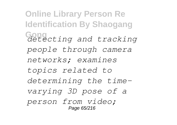**Online Library Person Re Identification By Shaogang Gong** *detecting and tracking people through camera networks; examines topics related to determining the timevarying 3D pose of a person from video;* Page 65/216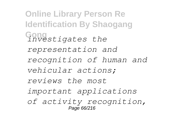**Online Library Person Re Identification By Shaogang Gong** *investigates the representation and recognition of human and vehicular actions; reviews the most important applications of activity recognition,* Page 66/216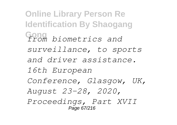**Online Library Person Re Identification By Shaogang Gong** *from biometrics and surveillance, to sports and driver assistance. 16th European Conference, Glasgow, UK, August 23–28, 2020, Proceedings, Part XVII* Page 67/216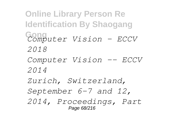**Online Library Person Re Identification By Shaogang Gong** *Computer Vision – ECCV 2018 Computer Vision -- ECCV 2014 Zurich, Switzerland, September 6-7 and 12, 2014, Proceedings, Part* Page 68/216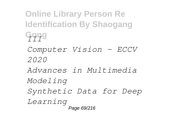**Online Library Person Re Identification By Shaogang Gong** *III Computer Vision – ECCV 2020 Advances in Multimedia Modeling Synthetic Data for Deep Learning* Page 69/216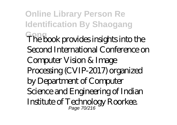**Online Library Person Re Identification By Shaogang Gong** The book provides insights into the Second International Conference on Computer Vision & Image Processing (CVIP-2017) organized by Department of Computer Science and Engineering of Indian Institute of Technology Roorkee. Page 70/216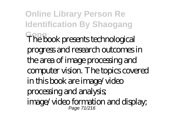**Online Library Person Re Identification By Shaogang Gong** The book presents technological progress and research outcomes in the area of image processing and computer vision. The topics covered in this book are image/video processing and analysis; image/video formation and display; Page 71/216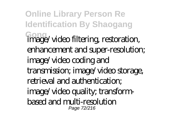**Online Library Person Re Identification By Shaogang Gong** image/video filtering, restoration, enhancement and super-resolution; image/video coding and transmission; image/video storage, retrieval and authentication; image/video quality; transformbased and multi-resolution Page 72/216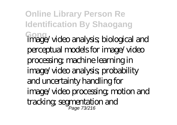**Online Library Person Re Identification By Shaogang Gong** image/video analysis; biological and perceptual models for image/video processing; machine learning in image/video analysis; probability and uncertainty handling for image/video processing; motion and tracking; segmentation and Page 73/216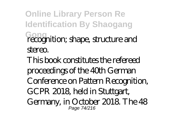**Online Library Person Re Identification By Shaogang Gong** recognition; shape, structure and stereo. This book constitutes the refereed proceedings of the 40th German Conference on Pattern Recognition, GCPR 2018, held in Stuttgart, Germany, in October 2018. The 48 Page 74/216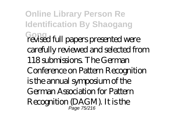**Online Library Person Re Identification By Shaogang Gong** revised full papers presented were carefully reviewed and selected from 118 submissions. The German Conference on Pattern Recognition is the annual symposium of the German Association for Pattern Recognition (DAGM). It is the Page 75/216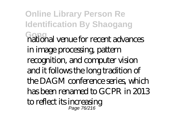**Online Library Person Re Identification By Shaogang Gong** national venue for recent advances in image processing, pattern recognition, and computer vision and it follows the long tradition of the DAGM conference series, which has been renamed to GCPR in 2013 to reflect its increasing Page 76/216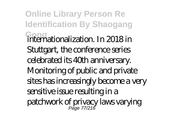**Online Library Person Re Identification By Shaogang Gong** internationalization. In 2018 in Stuttgart, the conference series celebrated its 40th anniversary. Monitoring of public and private sites has increasingly become a very sensitive issue resulting in a patchwork of privacy laws varying Page 77/216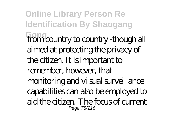**Online Library Person Re Identification By Shaogang Gong** from country to country -though all aimed at protecting the privacy of the citizen. It is important to remember, however, that monitoring and vi sual surveillance capabilities can also be employed to aid the citizen. The focus of current Page 78/216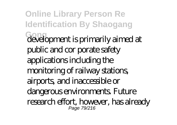**Online Library Person Re Identification By Shaogang Gong** development is primarily aimed at public and cor porate safety applications including the monitoring of railway stations, airports, and inaccessible or dangerous environments. Future research effort, however, has already Page 79/216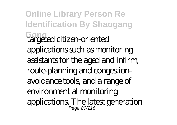**Online Library Person Re Identification By Shaogang Gong** targeted citizen-oriented applications such as monitoring assistants for the aged and infirm, route-planning and congestionavoidance tools, and a range of environment al monitoring applications. The latest generation Page 80/216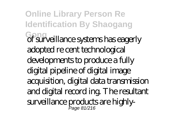**Online Library Person Re Identification By Shaogang Gong** of surveillance systems has eagerly adopted re cent technological developments to produce a fully digital pipeline of digital image acquisition, digital data transmission and digital record ing. The resultant surveillance products are highly-Page 81/216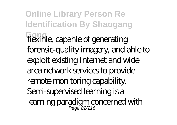**Online Library Person Re Identification By Shaogang Gong** fiexihle, capahle of generating forensic-quality imagery, and ahle to exploit existing Internet and wide area network services to provide remote monitoring capability. Semi-supervised learning is a learning paradigm concerned with Page 82/216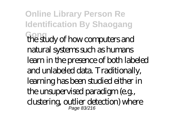**Online Library Person Re Identification By Shaogang Gong** the study of how computers and natural systems such as humans learn in the presence of both labeled and unlabeled data. Traditionally, learning has been studied either in the unsupervised paradigm (e.g., clustering, outlier detection) where Page 83/216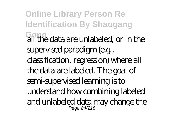**Online Library Person Re Identification By Shaogang Gong** all the data are unlabeled, or in the supervised paradigm (e.g., classification, regression) where all the data are labeled. The goal of semi-supervised learning is to understand how combining labeled and unlabeled data may change the Page 84/216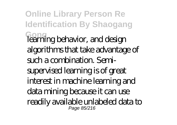**Online Library Person Re Identification By Shaogang Gong** learning behavior, and design algorithms that take advantage of such a combination. Semisupervised learning is of great interest in machine learning and data mining because it can use readily available unlabeled data to Page 85/216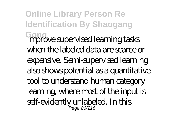**Online Library Person Re Identification By Shaogang Gong** improve supervised learning tasks when the labeled data are scarce or expensive. Semi-supervised learning also shows potential as a quantitative tool to understand human category learning, where most of the input is self-evidently unlabeled. In this Page 86/216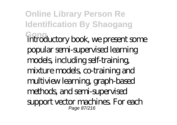**Online Library Person Re Identification By Shaogang Gong** introductory book, we present some popular semi-supervised learning models, including self-training, mixture models, co-training and multiview learning, graph-based methods, and semi-supervised support vector machines. For each Page 87/216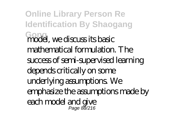**Online Library Person Re Identification By Shaogang Gong** model, we discuss its basic mathematical formulation. The success of semi-supervised learning depends critically on some underlying assumptions. We emphasize the assumptions made by each model and give Page 88/216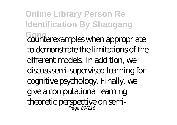**Online Library Person Re Identification By Shaogang Gong** counterexamples when appropriate to demonstrate the limitations of the different models. In addition, we discuss semi-supervised learning for cognitive psychology. Finally, we give a computational learning theoretic perspective on semi-Page 89/216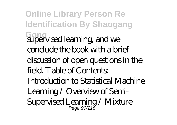**Online Library Person Re Identification By Shaogang Gong** supervised learning, and we conclude the book with a brief discussion of open questions in the field. Table of Contents: Introduction to Statistical Machine Learning / Overview of Semi-Supervised Learning / Mixture Page 90/216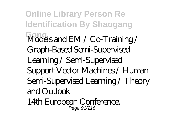**Online Library Person Re Identification By Shaogang** Models and EM / Co<sup>T</sup>raining / Graph-Based Semi-Supervised Learning / Semi-Supervised Support Vector Machines / Human Semi-Supervised Learning / Theory and  $\Omega$ utlook

14th European Conference, Page 91/216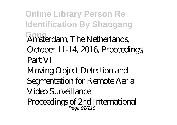**Online Library Person Re Identification By Shaogang Gong** Amsterdam, The Netherlands, October 11-14, 2016, Proceedings, Part VI Moving Object Detection and Segmentation for Remote Aerial Video Surveillance

Proceedings of 2nd International Page 92/216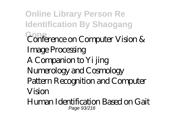**Online Library Person Re Identification By Shaogang Gong** Conference on Computer Vision & Image Processing A Companion to Yi jing Numerology and Cosmology Pattern Recognition and Computer Vision

Human Identification Based on Gait Page 93/216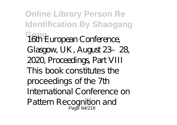**Online Library Person Re Identification By Shaogang Gong** 16th European Conference, Glasgow, UK, August 23–28, 2020, Proceedings, Part VIII This book constitutes the proceedings of the 7th International Conference on Pattern Recognition and<br>Page 94/216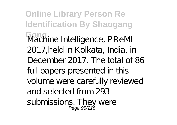**Online Library Person Re Identification By Shaogang Gong** Machine Intelligence, PReMI 2017,held in Kolkata, India, in December 2017. The total of 86 full papers presented in this volume were carefully reviewed and selected from 293 submissions. They were<br>Page 95/216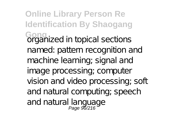**Online Library Person Re Identification By Shaogang Gong** organized in topical sections named: pattern recognition and machine learning; signal and image processing; computer vision and video processing; soft and natural computing; speech and natural language<br>Page 96/216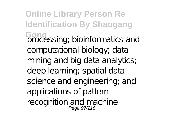**Online Library Person Re Identification By Shaogang** Gong<br>processing; bioinformatics and computational biology; data mining and big data analytics; deep learning; spatial data science and engineering; and applications of pattern recognition and machine Page 97/216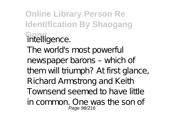**Online Library Person Re Identification By Shaogang Gong** intelligence. The world's most powerful newspaper barons – which of them will triumph? At first glance, Richard Armstrong and Keith Townsend seemed to have little in common. One was the son of Page 98/216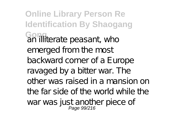**Online Library Person Re Identification By Shaogang Gong**<br>an illiterate peasant, who emerged from the most backward corner of a Europe ravaged by a bitter war. The other was raised in a mansion on the far side of the world while the war was just another piece of<br>Page 99/216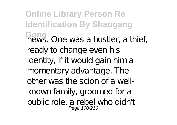**Online Library Person Re Identification By Shaogang Gong** news. One was a hustler, a thief, ready to change even his identity, if it would gain him a momentary advantage. The other was the scion of a wellknown family, groomed for a public role, a rebel who didn't<br>Page 100/216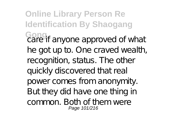**Online Library Person Re Identification By Shaogang** Gong<sub>i</sub><br>care if anyone approved of what he got up to. One craved wealth, recognition, status. The other quickly discovered that real power comes from anonymity. But they did have one thing in common. Both of them were Page 101/216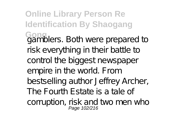**Online Library Person Re Identification By Shaogang** Gong<br>gamblers. Both were prepared to risk everything in their battle to control the biggest newspaper empire in the world. From bestselling author Jeffrey Archer, The Fourth Estate is a tale of corruption, risk and two men who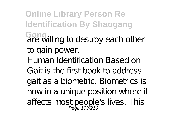**Online Library Person Re Identification By Shaogang Gong** are willing to destroy each other to gain power. Human Identification Based on Gait is the first book to address gait as a biometric. Biometrics is now in a unique position where it affects most people's lives. This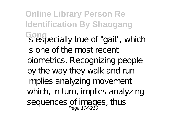**Online Library Person Re Identification By Shaogang** Gong<br>is especially true of "gait", which is one of the most recent biometrics. Recognizing people by the way they walk and run implies analyzing movement which, in turn, implies analyzing sequences of images, thus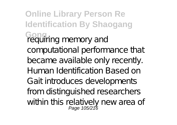**Online Library Person Re Identification By Shaogang Gong** requiring memory and computational performance that became available only recently. Human Identification Based on Gait introduces developments from distinguished researchers within this relatively new area of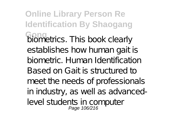**Online Library Person Re Identification By Shaogang Gong** biometrics. This book clearly establishes how human gait is biometric. Human Identification Based on Gait is structured to meet the needs of professionals in industry, as well as advancedlevel students in computer Page 106/216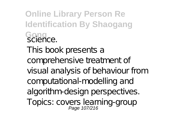**Online Library Person Re Identification By Shaogang Gong** science. This book presents a comprehensive treatment of visual analysis of behaviour from computational-modelling and algorithm-design perspectives. Topics: covers learning-group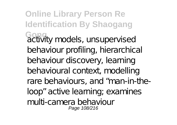**Online Library Person Re Identification By Shaogang** Gong<sub>ty</sub> models, unsupervised behaviour profiling, hierarchical behaviour discovery, learning behavioural context, modelling rare behaviours, and "man-in-theloop" active learning; examines multi-camera behaviour Page 108/216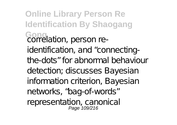**Online Library Person Re Identification By Shaogang** Gong<br>correlation, person reidentification, and "connectingthe-dots" for abnormal behaviour detection; discusses Bayesian information criterion, Bayesian networks, "bag-of-words" representation, canonical<br>Page 109/216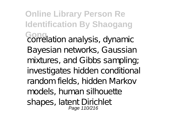**Online Library Person Re Identification By Shaogang Gong**<br>correlation analysis, dynamic Bayesian networks, Gaussian mixtures, and Gibbs sampling; investigates hidden conditional random fields, hidden Markov models, human silhouette shapes, latent Dirichlet Page 110/216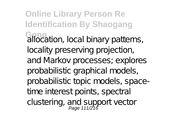**Online Library Person Re Identification By Shaogang** Gong<br>allocation, local binary patterns, locality preserving projection, and Markov processes; explores probabilistic graphical models, probabilistic topic models, spacetime interest points, spectral clustering, and support vector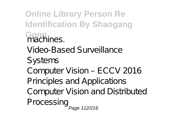**Online Library Person Re Identification By Shaogang Gong** machines. Video-Based Surveillance Systems Computer Vision – ECCV 2016 Principles and Applications Computer Vision and Distributed Processing Page 112/216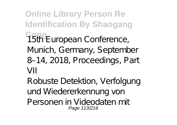**Online Library Person Re Identification By Shaogang G5th European Conference,** Munich, Germany, September 8–14, 2018, Proceedings, Part  $VII$ 

Robuste Detektion, Verfolgung und Wiedererkennung von Personen in Videodaten mit Page 113/216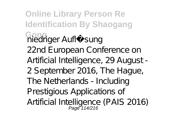**Online Library Person Re Identification By Shaogang Gong** niedriger Auflösung 22nd European Conference on Artificial Intelligence, 29 August - 2 September 2016, The Hague, The Netherlands - Including Prestigious Applications of Artificial Intelligence (PAIS 2016)<br>Page 114/216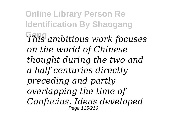**Online Library Person Re Identification By Shaogang Gong** *This ambitious work focuses on the world of Chinese thought during the two and a half centuries directly preceding and partly overlapping the time of Confucius. Ideas developed* Page 115/216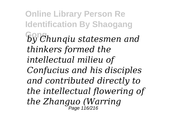**Online Library Person Re Identification By Shaogang Gong** *by Chunqiu statesmen and thinkers formed the intellectual milieu of Confucius and his disciples and contributed directly to the intellectual flowering of the Zhanguo (Warring* Page 116/216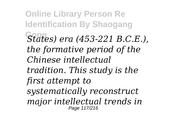**Online Library Person Re Identification By Shaogang Gong** *States) era (453-221 B.C.E.), the formative period of the Chinese intellectual tradition. This study is the first attempt to systematically reconstruct major intellectual trends in* Page 117/216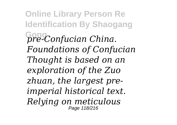**Online Library Person Re Identification By Shaogang Gong** *pre-Confucian China. Foundations of Confucian Thought is based on an exploration of the Zuo zhuan, the largest preimperial historical text. Relying on meticulous* Page 118/216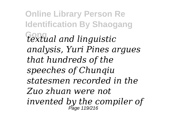**Online Library Person Re Identification By Shaogang Gong** *textual and linguistic analysis, Yuri Pines argues that hundreds of the speeches of Chunqiu statesmen recorded in the Zuo zhuan were not invented by the compiler of* Page 119/216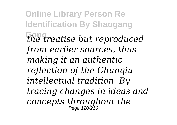**Online Library Person Re Identification By Shaogang Gong** *the treatise but reproduced from earlier sources, thus making it an authentic reflection of the Chunqiu intellectual tradition. By tracing changes in ideas and concepts throughout the* Page 120/216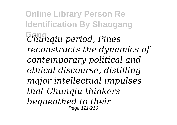**Online Library Person Re Identification By Shaogang Gong** *Chunqiu period, Pines reconstructs the dynamics of contemporary political and ethical discourse, distilling major intellectual impulses that Chunqiu thinkers bequeathed to their* Page 121/216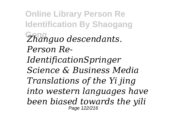**Online Library Person Re Identification By Shaogang Gong** *Zhanguo descendants. Person Re-IdentificationSpringer Science & Business Media Translations of the Yi jing into western languages have been biased towards the yili* Page 122/216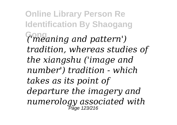**Online Library Person Re Identification By Shaogang Gong** *('meaning and pattern') tradition, whereas studies of the xiangshu ('image and number') tradition - which takes as its point of departure the imagery and numerology associated with* Page 123/216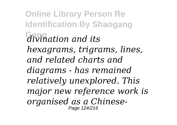**Online Library Person Re Identification By Shaogang Gong** *divination and its hexagrams, trigrams, lines, and related charts and diagrams - has remained relatively unexplored. This major new reference work is organised as a Chinese-*Page 124/216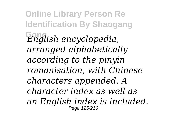**Online Library Person Re Identification By Shaogang Gong** *English encyclopedia, arranged alphabetically according to the pinyin romanisation, with Chinese characters appended. A character index as well as an English index is included.* Page 125/216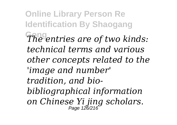**Online Library Person Re Identification By Shaogang Gong** *The entries are of two kinds: technical terms and various other concepts related to the 'image and number' tradition, and biobibliographical information on Chinese Yi jing scholars.* Page 126/216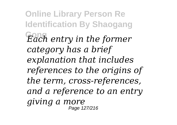**Online Library Person Re Identification By Shaogang Gong** *Each entry in the former category has a brief explanation that includes references to the origins of the term, cross-references, and a reference to an entry giving a more* Page 127/216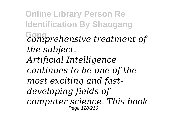**Online Library Person Re Identification By Shaogang Gong** *comprehensive treatment of the subject. Artificial Intelligence continues to be one of the most exciting and fastdeveloping fields of computer science. This book* Page 128/216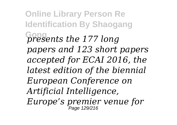**Online Library Person Re Identification By Shaogang Gong** *presents the 177 long papers and 123 short papers accepted for ECAI 2016, the latest edition of the biennial European Conference on Artificial Intelligence, Europe's premier venue for* Page 129/216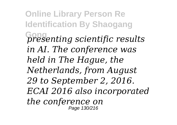**Online Library Person Re Identification By Shaogang Gong** *presenting scientific results in AI. The conference was held in The Hague, the Netherlands, from August 29 to September 2, 2016. ECAI 2016 also incorporated the conference on* Page 130/216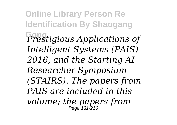**Online Library Person Re Identification By Shaogang Gong** *Prestigious Applications of Intelligent Systems (PAIS) 2016, and the Starting AI Researcher Symposium (STAIRS). The papers from PAIS are included in this volume; the papers from* Page 131/216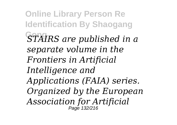**Online Library Person Re Identification By Shaogang STAIRS** are published in a *separate volume in the Frontiers in Artificial Intelligence and Applications (FAIA) series. Organized by the European Association for Artificial* Page 132/216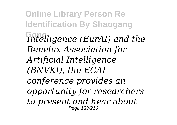**Online Library Person Re Identification By Shaogang Gong** *Intelligence (EurAI) and the Benelux Association for Artificial Intelligence (BNVKI), the ECAI conference provides an opportunity for researchers to present and hear about* Page 133/216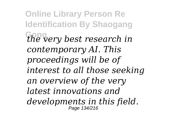**Online Library Person Re Identification By Shaogang Gong** *the very best research in contemporary AI. This proceedings will be of interest to all those seeking an overview of the very latest innovations and developments in this field.* Page 134/216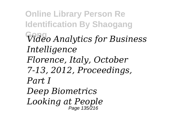**Online Library Person Re Identification By Shaogang Gong** *Video Analytics for Business Intelligence Florence, Italy, October 7-13, 2012, Proceedings, Part I Deep Biometrics Looking at People* Page 135/216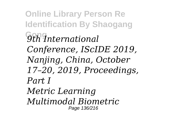**Online Library Person Re Identification By Shaogang Gong** *9th International Conference, IScIDE 2019, Nanjing, China, October 17–20, 2019, Proceedings, Part I Metric Learning Multimodal Biometric* Page 136/216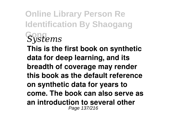**Online Library Person Re Identification By Shaogang Gong** *Systems* **This is the first book on synthetic data for deep learning, and its breadth of coverage may render this book as the default reference on synthetic data for years to come. The book can also serve as an introduction to several other** Page 137/216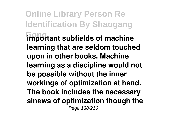**Online Library Person Re Identification By Shaogang Gong important subfields of machine learning that are seldom touched upon in other books. Machine learning as a discipline would not be possible without the inner workings of optimization at hand. The book includes the necessary sinews of optimization though the** Page 138/216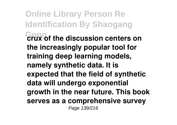**Online Library Person Re Identification By Shaogang Gong crux of the discussion centers on the increasingly popular tool for training deep learning models, namely synthetic data. It is expected that the field of synthetic data will undergo exponential growth in the near future. This book serves as a comprehensive survey** Page 139/216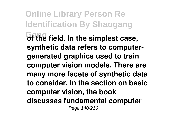**Online Library Person Re Identification By Shaogang of the field. In the simplest case, synthetic data refers to computergenerated graphics used to train computer vision models. There are many more facets of synthetic data to consider. In the section on basic computer vision, the book discusses fundamental computer** Page 140/216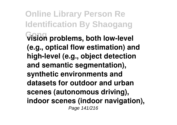**Online Library Person Re Identification By Shaogang Gong vision problems, both low-level (e.g., optical flow estimation) and high-level (e.g., object detection and semantic segmentation), synthetic environments and datasets for outdoor and urban scenes (autonomous driving), indoor scenes (indoor navigation),** Page 141/216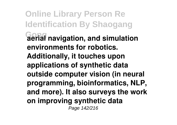**Online Library Person Re Identification By Shaogang Gong aerial navigation, and simulation environments for robotics. Additionally, it touches upon applications of synthetic data outside computer vision (in neural programming, bioinformatics, NLP, and more). It also surveys the work on improving synthetic data** Page 142/216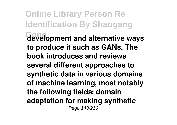**Online Library Person Re Identification By Shaogang Gong development and alternative ways to produce it such as GANs. The book introduces and reviews several different approaches to synthetic data in various domains of machine learning, most notably the following fields: domain adaptation for making synthetic** Page 143/216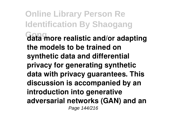**Online Library Person Re Identification By Shaogang Gong data more realistic and/or adapting the models to be trained on synthetic data and differential privacy for generating synthetic data with privacy guarantees. This discussion is accompanied by an introduction into generative adversarial networks (GAN) and an** Page 144/216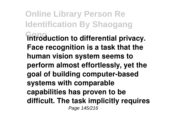**Online Library Person Re Identification By Shaogang Gong introduction to differential privacy. Face recognition is a task that the human vision system seems to perform almost effortlessly, yet the goal of building computer-based systems with comparable capabilities has proven to be difficult. The task implicitly requires** Page 145/216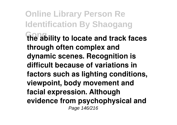**Online Library Person Re Identification By Shaogang Gong the ability to locate and track faces through often complex and dynamic scenes. Recognition is difficult because of variations in factors such as lighting conditions, viewpoint, body movement and facial expression. Although evidence from psychophysical and** Page 146/216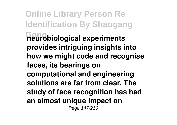**Online Library Person Re Identification By Shaogang Gong neurobiological experiments provides intriguing insights into how we might code and recognise faces, its bearings on computational and engineering solutions are far from clear. The study of face recognition has had an almost unique impact on** Page 147/216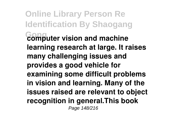**Online Library Person Re Identification By Shaogang Gong computer vision and machine learning research at large. It raises many challenging issues and provides a good vehicle for examining some difficult problems in vision and learning. Many of the issues raised are relevant to object recognition in general.This book** Page 148/216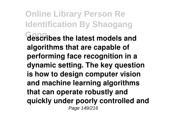**Online Library Person Re Identification By Shaogang Gong describes the latest models and algorithms that are capable of performing face recognition in a dynamic setting. The key question is how to design computer vision and machine learning algorithms that can operate robustly and quickly under poorly controlled and** Page 149/216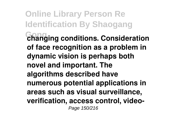**Online Library Person Re Identification By Shaogang Gong changing conditions. Consideration of face recognition as a problem in dynamic vision is perhaps both novel and important. The algorithms described have numerous potential applications in areas such as visual surveillance, verification, access control, video-**Page 150/216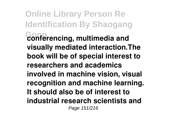**Online Library Person Re Identification By Shaogang Conferencing, multimedia and visually mediated interaction.The book will be of special interest to researchers and academics involved in machine vision, visual recognition and machine learning. It should also be of interest to industrial research scientists and** Page 151/216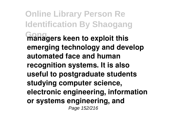**Online Library Person Re Identification By Shaogang Managers keen to exploit this emerging technology and develop automated face and human recognition systems. It is also useful to postgraduate students studying computer science, electronic engineering, information or systems engineering, and** Page 152/216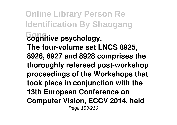**Online Library Person Re Identification By Shaogang Gong cognitive psychology. The four-volume set LNCS 8925, 8926, 8927 and 8928 comprises the thoroughly refereed post-workshop proceedings of the Workshops that took place in conjunction with the 13th European Conference on Computer Vision, ECCV 2014, held** Page 153/216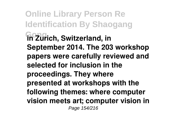**Online Library Person Re Identification By Shaogang Gong in Zurich, Switzerland, in September 2014. The 203 workshop papers were carefully reviewed and selected for inclusion in the proceedings. They where presented at workshops with the following themes: where computer vision meets art; computer vision in** Page 154/216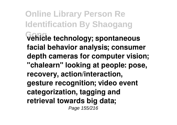**Online Library Person Re Identification By Shaogang Gong vehicle technology; spontaneous facial behavior analysis; consumer depth cameras for computer vision; "chalearn" looking at people: pose, recovery, action/interaction, gesture recognition; video event categorization, tagging and retrieval towards big data;** Page 155/216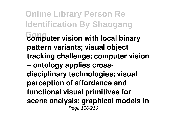**Online Library Person Re Identification By Shaogang Gong computer vision with local binary pattern variants; visual object tracking challenge; computer vision + ontology applies crossdisciplinary technologies; visual perception of affordance and functional visual primitives for scene analysis; graphical models in** Page 156/216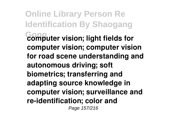**Online Library Person Re Identification By Shaogang Gong computer vision; light fields for computer vision; computer vision for road scene understanding and autonomous driving; soft biometrics; transferring and adapting source knowledge in computer vision; surveillance and re-identification; color and** Page 157/216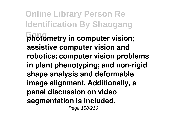**Online Library Person Re Identification By Shaogang Gong photometry in computer vision; assistive computer vision and robotics; computer vision problems in plant phenotyping; and non-rigid shape analysis and deformable image alignment. Additionally, a panel discussion on video segmentation is included.** Page 158/216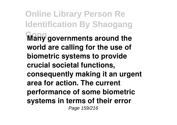**Online Library Person Re Identification By Shaogang Many governments around the world are calling for the use of biometric systems to provide crucial societal functions, consequently making it an urgent area for action. The current performance of some biometric systems in terms of their error** Page 159/216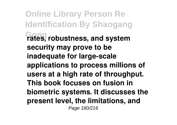**Online Library Person Re Identification By Shaogang Gong rates, robustness, and system security may prove to be inadequate for large-scale applications to process millions of users at a high rate of throughput. This book focuses on fusion in biometric systems. It discusses the present level, the limitations, and** Page 160/216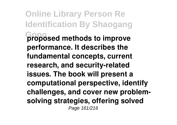**Online Library Person Re Identification By Shaogang Gong proposed methods to improve performance. It describes the fundamental concepts, current research, and security-related issues. The book will present a computational perspective, identify challenges, and cover new problemsolving strategies, offering solved** Page 161/216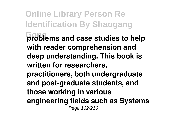**Online Library Person Re Identification By Shaogang Gong problems and case studies to help with reader comprehension and deep understanding. This book is written for researchers, practitioners, both undergraduate and post-graduate students, and those working in various engineering fields such as Systems** Page 162/216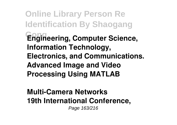**Online Library Person Re Identification By Shaogang Gong Engineering, Computer Science, Information Technology, Electronics, and Communications. Advanced Image and Video Processing Using MATLAB**

## **Multi-Camera Networks 19th International Conference,** Page 163/216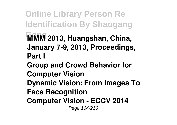**Online Library Person Re Identification By Shaogang Gong MMM 2013, Huangshan, China, January 7-9, 2013, Proceedings, Part I Group and Crowd Behavior for Computer Vision Dynamic Vision: From Images To Face Recognition Computer Vision - ECCV 2014** Page 164/216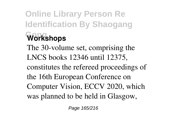## **Online Library Person Re Identification By Shaogang Workshops** The 30-volume set, comprising the LNCS books 12346 until 12375, constitutes the refereed proceedings of the 16th European Conference on Computer Vision, ECCV 2020, which was planned to be held in Glasgow,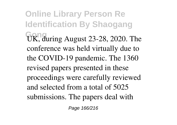**Online Library Person Re Identification By Shaogang** UK, during August 23-28, 2020. The conference was held virtually due to the COVID-19 pandemic. The 1360 revised papers presented in these proceedings were carefully reviewed and selected from a total of 5025 submissions. The papers deal with

Page 166/216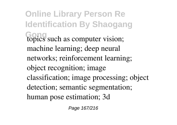**Online Library Person Re Identification By Shaogang Gong** topics such as computer vision; machine learning; deep neural networks; reinforcement learning; object recognition; image classification; image processing; object detection; semantic segmentation; human pose estimation; 3d

Page 167/216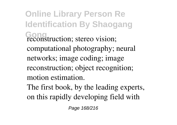**Online Library Person Re Identification By Shaogang Gong** reconstruction; stereo vision; computational photography; neural networks; image coding; image reconstruction; object recognition; motion estimation. The first book, by the leading experts,

on this rapidly developing field with

Page 168/216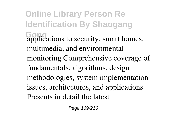**Online Library Person Re Identification By Shaogang Gong** applications to security, smart homes, multimedia, and environmental monitoring Comprehensive coverage of fundamentals, algorithms, design methodologies, system implementation issues, architectures, and applications Presents in detail the latest

Page 169/216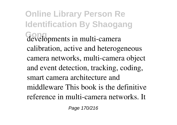**Online Library Person Re Identification By Shaogang Gong** developments in multi-camera calibration, active and heterogeneous camera networks, multi-camera object and event detection, tracking, coding, smart camera architecture and middleware This book is the definitive reference in multi-camera networks. It

Page 170/216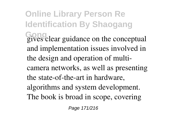**Online Library Person Re Identification By Shaogang** Gong<sub>l</sub> experience on the conceptual and implementation issues involved in the design and operation of multicamera networks, as well as presenting the state-of-the-art in hardware, algorithms and system development. The book is broad in scope, covering

Page 171/216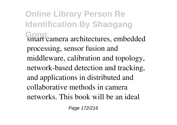**Online Library Person Re Identification By Shaogang Gong** smart camera architectures, embedded processing, sensor fusion and middleware, calibration and topology, network-based detection and tracking, and applications in distributed and collaborative methods in camera networks. This book will be an ideal

Page 172/216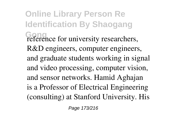**Online Library Person Re Identification By Shaogang Gong** reference for university researchers, R&D engineers, computer engineers, and graduate students working in signal and video processing, computer vision, and sensor networks. Hamid Aghajan is a Professor of Electrical Engineering (consulting) at Stanford University. His

Page 173/216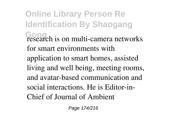**Online Library Person Re Identification By Shaogang Gong** research is on multi-camera networks for smart environments with application to smart homes, assisted living and well being, meeting rooms, and avatar-based communication and social interactions. He is Editor-in-Chief of Journal of Ambient

Page 174/216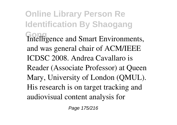**Online Library Person Re Identification By Shaogang** Intelligence and Smart Environments, and was general chair of ACM/IEEE ICDSC 2008. Andrea Cavallaro is Reader (Associate Professor) at Queen Mary, University of London (QMUL). His research is on target tracking and audiovisual content analysis for

Page 175/216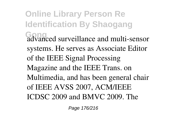**Online Library Person Re Identification By Shaogang Gong** advanced surveillance and multi-sensor systems. He serves as Associate Editor of the IEEE Signal Processing Magazine and the IEEE Trans. on Multimedia, and has been general chair of IEEE AVSS 2007, ACM/IEEE ICDSC 2009 and BMVC 2009. The

Page 176/216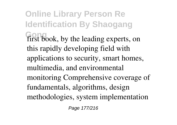**Online Library Person Re Identification By Shaogang** first book, by the leading experts, on this rapidly developing field with applications to security, smart homes, multimedia, and environmental monitoring Comprehensive coverage of fundamentals, algorithms, design methodologies, system implementation

Page 177/216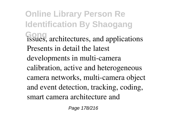**Online Library Person Re Identification By Shaogang Gong** issues, architectures, and applications Presents in detail the latest developments in multi-camera calibration, active and heterogeneous camera networks, multi-camera object and event detection, tracking, coding, smart camera architecture and

Page 178/216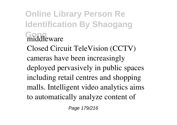**Online Library Person Re Identification By Shaogang Gond**<br> **Good**<br> **Good** Closed Circuit TeleVision (CCTV) cameras have been increasingly deployed pervasively in public spaces including retail centres and shopping malls. Intelligent video analytics aims to automatically analyze content of

Page 179/216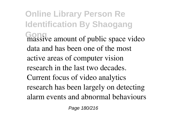**Online Library Person Re Identification By Shaogang Gong** massive amount of public space video data and has been one of the most active areas of computer vision research in the last two decades. Current focus of video analytics research has been largely on detecting alarm events and abnormal behaviours

Page 180/216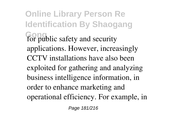**Online Library Person Re Identification By Shaogang Gong** for public safety and security applications. However, increasingly CCTV installations have also been exploited for gathering and analyzing business intelligence information, in order to enhance marketing and operational efficiency. For example, in

Page 181/216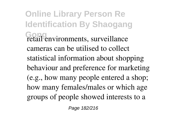**Online Library Person Re Identification By Shaogang Gong** retail environments, surveillance cameras can be utilised to collect statistical information about shopping behaviour and preference for marketing (e.g., how many people entered a shop; how many females/males or which age groups of people showed interests to a

Page 182/216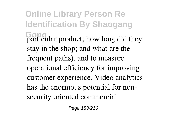**Online Library Person Re Identification By Shaogang Gong** particular product; how long did they stay in the shop; and what are the frequent paths), and to measure operational efficiency for improving customer experience. Video analytics has the enormous potential for nonsecurity oriented commercial

Page 183/216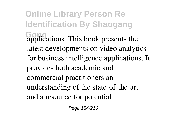**Online Library Person Re Identification By Shaogang Gong** applications. This book presents the latest developments on video analytics for business intelligence applications. It provides both academic and commercial practitioners an understanding of the state-of-the-art and a resource for potential

Page 184/216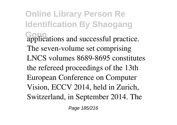**Online Library Person Re Identification By Shaogang** Gonications and successful practice. The seven-volume set comprising LNCS volumes 8689-8695 constitutes the refereed proceedings of the 13th European Conference on Computer Vision, ECCV 2014, held in Zurich, Switzerland, in September 2014. The

Page 185/216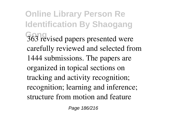**Online Library Person Re Identification By Shaogang Gong** 363 revised papers presented were carefully reviewed and selected from 1444 submissions. The papers are organized in topical sections on tracking and activity recognition; recognition; learning and inference; structure from motion and feature

Page 186/216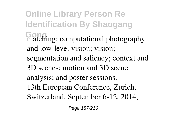**Online Library Person Re Identification By Shaogang Gong** matching; computational photography and low-level vision; vision; segmentation and saliency; context and 3D scenes; motion and 3D scene analysis; and poster sessions. 13th European Conference, Zurich, Switzerland, September 6-12, 2014,

Page 187/216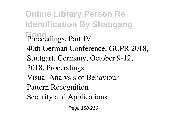**Online Library Person Re Identification By Shaogang** Proceedings, Part IV 40th German Conference, GCPR 2018, Stuttgart, Germany, October 9-12, 2018, Proceedings Visual Analysis of Behaviour Pattern Recognition Security and Applications

Page 188/216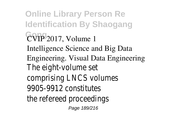**Online Library Person Re Identification By Shaogang Gong** CVIP 2017, Volume 1 Intelligence Science and Big Data Engineering. Visual Data Engineering The eight-volume set comprising LNCS volumes 9905-9912 constitutes the refereed proceedings Page 189/216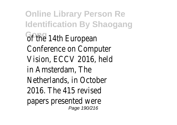**Online Library Person Re Identification By Shaogang GPTHe 14th European** Conference on Computer Vision, ECCV 2016, held in Amsterdam, The Netherlands, in October 2016. The 415 revised papers presented were Page 190/216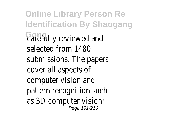**Online Library Person Re Identification By Shaogang Gong** carefully reviewed and selected from 1480 submissions. The papers cover all aspects of computer vision and pattern recognition such as 3D computer vision; Page 191/216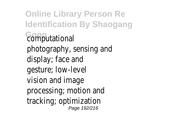**Online Library Person Re Identification By Shaogang Gong** computational photography, sensing and display; face and gesture; low-level vision and image processing; motion and tracking; optimization Page 192/216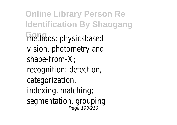**Online Library Person Re Identification By Shaogang Gong** methods; physicsbased vision, photometry and shape-from-X; recognition: detection, categorization, indexing, matching; segmentation, grouping Page 193/216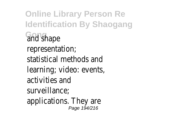**Online Library Person Re Identification By Shaogang Gong** and shape representation; statistical methods and learning; video: events, activities and surveillance; applications. They are Page 194/216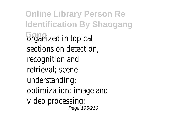**Online Library Person Re Identification By Shaogang Grganized in topical** sections on detection, recognition and retrieval; scene understanding; optimization; image and video processing; Page 195/216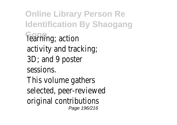**Online Library Person Re Identification By Shaogang Fearning**; action activity and tracking; 3D; and 9 poster sessions. This volume gathers selected, peer-reviewed original contributions Page 196/216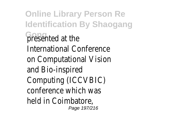**Online Library Person Re Identification By Shaogang Gong** presented at the International Conference on Computational Vision and Bio-inspired Computing (ICCVBIC) conference which was held in Coimbatore, Page 197/216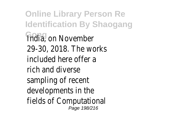**Online Library Person Re Identification By Shaogang India**, on November 29-30, 2018. The works included here offer a rich and diverse sampling of recent developments in the fields of Computational Page 198/216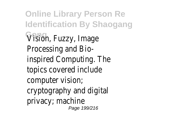**Online Library Person Re Identification By Shaogang Gong** Vision, Fuzzy, Image Processing and Bioinspired Computing. The topics covered include computer vision; cryptography and digital privacy; machine Page 199/216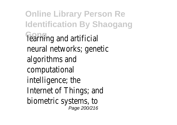**Online Library Person Re Identification By Shaogang Fearning and artificial** neural networks; genetic algorithms and computational intelligence; the Internet of Things; and biometric systems, to Page 200/216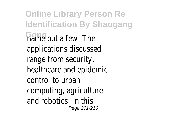**Online Library Person Re Identification By Shaogang Gong** name but a few. The applications discussed range from security, healthcare and epidemic control to urban computing, agriculture and robotics. In this Page 201/216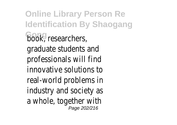**Online Library Person Re Identification By Shaogang book**, researchers, graduate students and professionals will find innovative solutions to real-world problems in industry and society as a whole, together with Page 202/216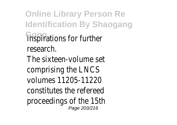**Online Library Person Re Identification By Shaogang Gongrations for further** research. The sixteen-volume set comprising the LNCS volumes 11205-11220 constitutes the refereed proceedings of the 15th Page 203/216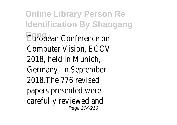**Online Library Person Re Identification By Shaogang** European Conference on Computer Vision, ECCV 2018, held in Munich, Germany, in September 2018.The 776 revised papers presented were carefully reviewed and Page 204/216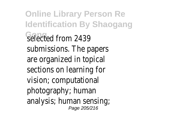**Online Library Person Re Identification By Shaogang** selected from 2439 submissions. The papers are organized in topical sections on learning for vision; computational photography; human analysis; human sensing; Page 205/216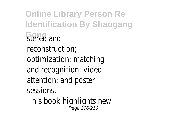**Online Library Person Re Identification By Shaogang Stereo** and reconstruction; optimization; matching and recognition; video attention; and poster sessions. This book highlights new Page 206/216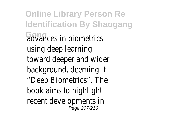**Online Library Person Re Identification By Shaogang Gong** advances in biometrics using deep learning toward deeper and wider background, deeming it "Deep Biometrics". The book aims to highlight recent developments in Page 207/216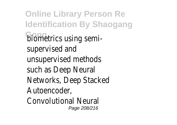**Online Library Person Re Identification By Shaogang Gong** biometrics using semisupervised and unsupervised methods such as Deep Neural Networks, Deep Stacked Autoencoder, Convolutional Neural Page 208/216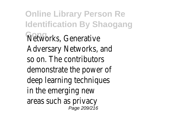**Online Library Person Re Identification By Shaogang Gong** Networks, Generative Adversary Networks, and so on. The contributors demonstrate the power of deep learning techniques in the emerging new areas such as privacy Page 209/216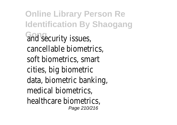**Online Library Person Re Identification By Shaogang Gong** and security issues, cancellable biometrics, soft biometrics, smart cities, big biometric data, biometric banking, medical biometrics, healthcare biometrics, Page 210/216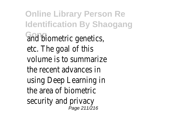**Online Library Person Re Identification By Shaogang Gong** and biometric genetics, etc. The goal of this volume is to summarize the recent advances in using Deep Learning in the area of biometric security and privacy Page 211/216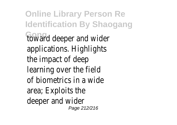**Online Library Person Re Identification By Shaogang** foward deeper and wider applications. Highlights the impact of deep learning over the field of biometrics in a wide area; Exploits the deeper and wider Page 212/216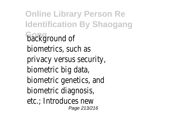**Online Library Person Re Identification By Shaogang background of** biometrics, such as privacy versus security, biometric big data, biometric genetics, and biometric diagnosis, etc.; Introduces new Page 213/216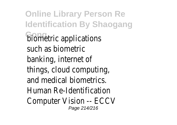**Online Library Person Re Identification By Shaogang Gometric applications** such as biometric banking, internet of things, cloud computing, and medical biometrics. Human Re-Identification Computer Vision -- ECCV Page 214/216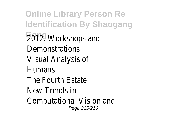**Online Library Person Re Identification By Shaogang Gong** 2012. Workshops and Demonstrations Visual Analysis of Humans The Fourth Estate New Trends in Computational Vision and Page 215/216